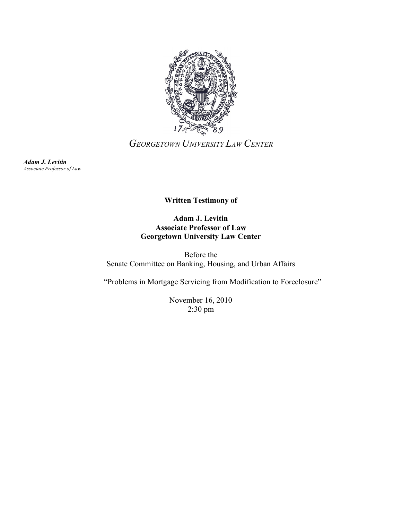

*GEORGETOWN UNIVERSITY LAW CENTER*

*Adam J. Levitin Associate Professor of Law*

**Written Testimony of**

**Adam J. Levitin Associate Professor of Law Georgetown University Law Center**

Before the Senate Committee on Banking, Housing, and Urban Affairs

"Problems in Mortgage Servicing from Modification to Foreclosure"

November 16, 2010 2:30 pm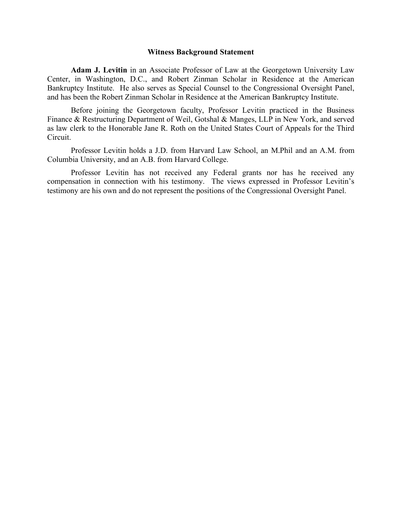#### **Witness Background Statement**

**Adam J. Levitin** in an Associate Professor of Law at the Georgetown University Law Center, in Washington, D.C., and Robert Zinman Scholar in Residence at the American Bankruptcy Institute. He also serves as Special Counsel to the Congressional Oversight Panel, and has been the Robert Zinman Scholar in Residence at the American Bankruptcy Institute.

Before joining the Georgetown faculty, Professor Levitin practiced in the Business Finance & Restructuring Department of Weil, Gotshal & Manges, LLP in New York, and served as law clerk to the Honorable Jane R. Roth on the United States Court of Appeals for the Third Circuit.

Professor Levitin holds a J.D. from Harvard Law School, an M.Phil and an A.M. from Columbia University, and an A.B. from Harvard College.

Professor Levitin has not received any Federal grants nor has he received any compensation in connection with his testimony. The views expressed in Professor Levitin's testimony are his own and do not represent the positions of the Congressional Oversight Panel.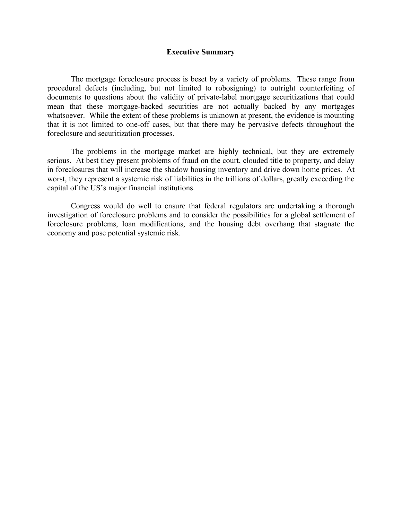### **Executive Summary**

The mortgage foreclosure process is beset by a variety of problems. These range from procedural defects (including, but not limited to robosigning) to outright counterfeiting of documents to questions about the validity of private-label mortgage securitizations that could mean that these mortgage-backed securities are not actually backed by any mortgages whatsoever. While the extent of these problems is unknown at present, the evidence is mounting that it is not limited to one-off cases, but that there may be pervasive defects throughout the foreclosure and securitization processes.

The problems in the mortgage market are highly technical, but they are extremely serious. At best they present problems of fraud on the court, clouded title to property, and delay in foreclosures that will increase the shadow housing inventory and drive down home prices. At worst, they represent a systemic risk of liabilities in the trillions of dollars, greatly exceeding the capital of the US's major financial institutions.

Congress would do well to ensure that federal regulators are undertaking a thorough investigation of foreclosure problems and to consider the possibilities for a global settlement of foreclosure problems, loan modifications, and the housing debt overhang that stagnate the economy and pose potential systemic risk.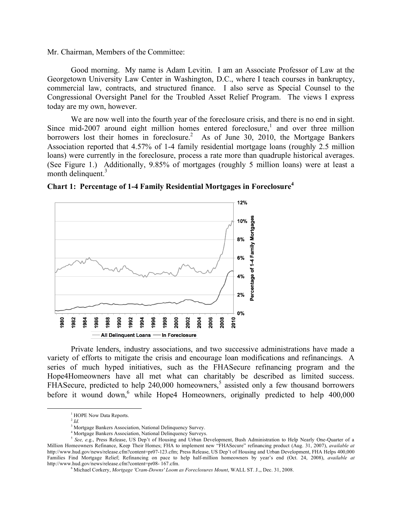Mr. Chairman, Members of the Committee:

Good morning. My name is Adam Levitin. I am an Associate Professor of Law at the Georgetown University Law Center in Washington, D.C., where I teach courses in bankruptcy, commercial law, contracts, and structured finance. I also serve as Special Counsel to the Congressional Oversight Panel for the Troubled Asset Relief Program. The views I express today are my own, however.

We are now well into the fourth year of the foreclosure crisis, and there is no end in sight. Since mid-2007 around eight million homes entered foreclosure,<sup>1</sup> and over three million borrowers lost their homes in foreclosure.<sup>2</sup> As of June 30, 2010, the Mortgage Bankers Association reported that 4.57% of 1-4 family residential mortgage loans (roughly 2.5 million loans) were currently in the foreclosure, process a rate more than quadruple historical averages. (See Figure 1.) Additionally, 9.85% of mortgages (roughly 5 million loans) were at least a month delinquent. $3$ 





Private lenders, industry associations, and two successive administrations have made a variety of efforts to mitigate the crisis and encourage loan modifications and refinancings. A series of much hyped initiatives, such as the FHASecure refinancing program and the Hope4Homeowners have all met what can charitably be described as limited success. FHASecure, predicted to help 240,000 homeowners,<sup>5</sup> assisted only a few thousand borrowers before it wound down,<sup>6</sup> while Hope4 Homeowners, originally predicted to help  $400,000$ 

 $\frac{1}{1}$ <sup>1</sup> HOPE Now Data Reports.

 $^{2}$  *Id.* 

<sup>3</sup> Mortgage Bankers Association, National Delinquency Survey.

<sup>4</sup> Mortgage Bankers Association, National Delinquency Surveys.

<sup>5</sup> *See, e.*g., Press Release, US Dep't of Housing and Urban Development, Bush Administration to Help Nearly One-Quarter of a Million Homeowners Refinance, Keep Their Homes; FHA to implement new "FHASecure" refinancing product (Aug. 31, 2007), *available at*  http://www.hud.gov/news/release.cfm?content=pr07-123.cfm; Press Release, US Dep't of Housing and Urban Development, FHA Helps 400,000 Families Find Mortgage Relief; Refinancing on pace to help half-million homeowners by year's end (Oct. 24, 2008), *available at*  http://www.hud.gov/news/release.cfm?content=pr08- 167.cfm.

<sup>6</sup> Michael Corkery, *Mortgage 'Cram-Downs' Loom as Foreclosures Mount*, WALL ST. J.,, Dec. 31, 2008.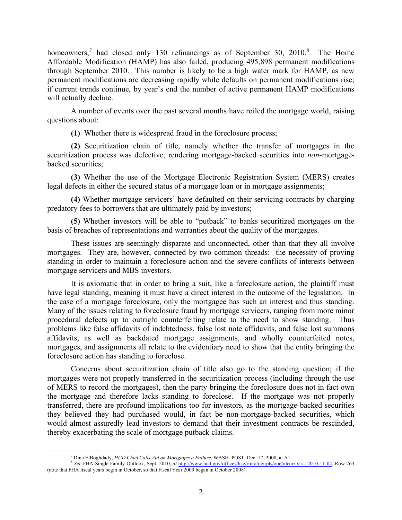homeowners,<sup>7</sup> had closed only 130 refinancings as of September 30, 2010.<sup>8</sup> The Home Affordable Modification (HAMP) has also failed, producing 495,898 permanent modifications through September 2010. This number is likely to be a high water mark for HAMP, as new permanent modifications are decreasing rapidly while defaults on permanent modifications rise; if current trends continue, by year's end the number of active permanent HAMP modifications will actually decline.

A number of events over the past several months have roiled the mortgage world, raising questions about:

**(1)** Whether there is widespread fraud in the foreclosure process;

**(2)** Securitization chain of title, namely whether the transfer of mortgages in the securitization process was defective, rendering mortgage-backed securities into *non*-mortgagebacked securities;

**(3)** Whether the use of the Mortgage Electronic Registration System (MERS) creates legal defects in either the secured status of a mortgage loan or in mortgage assignments;

**(4)** Whether mortgage servicers' have defaulted on their servicing contracts by charging predatory fees to borrowers that are ultimately paid by investors;

**(5)** Whether investors will be able to "putback" to banks securitized mortgages on the basis of breaches of representations and warranties about the quality of the mortgages.

These issues are seemingly disparate and unconnected, other than that they all involve mortgages. They are, however, connected by two common threads: the necessity of proving standing in order to maintain a foreclosure action and the severe conflicts of interests between mortgage servicers and MBS investors.

It is axiomatic that in order to bring a suit, like a foreclosure action, the plaintiff must have legal standing, meaning it must have a direct interest in the outcome of the legislation. In the case of a mortgage foreclosure, only the mortgagee has such an interest and thus standing. Many of the issues relating to foreclosure fraud by mortgage servicers, ranging from more minor procedural defects up to outright counterfeiting relate to the need to show standing. Thus problems like false affidavits of indebtedness, false lost note affidavits, and false lost summons affidavits, as well as backdated mortgage assignments, and wholly counterfeited notes, mortgages, and assignments all relate to the evidentiary need to show that the entity bringing the foreclosure action has standing to foreclose.

Concerns about securitization chain of title also go to the standing question; if the mortgages were not properly transferred in the securitization process (including through the use of MERS to record the mortgages), then the party bringing the foreclosure does not in fact own the mortgage and therefore lacks standing to foreclose. If the mortgage was not properly transferred, there are profound implications too for investors, as the mortgage-backed securities they believed they had purchased would, in fact be non-mortgage-backed securities, which would almost assuredly lead investors to demand that their investment contracts be rescinded, thereby exacerbating the scale of mortgage putback claims.

 <sup>7</sup> Dina ElBoghdady, *HUD Chief Calls Aid on Mortgages a Failure*, WASH. POST. Dec. 17, 2008, at A1.

<sup>8</sup> *See* FHA Single Family Outlook, Sept. 2010, *at* http://www.hud.gov/offices/hsg/rmra/oe/rpts/ooe/olcurr.xls - 2010-11-02, Row 263 (note that FHA fiscal years begin in October, so that Fiscal Year 2009 began in October 2008).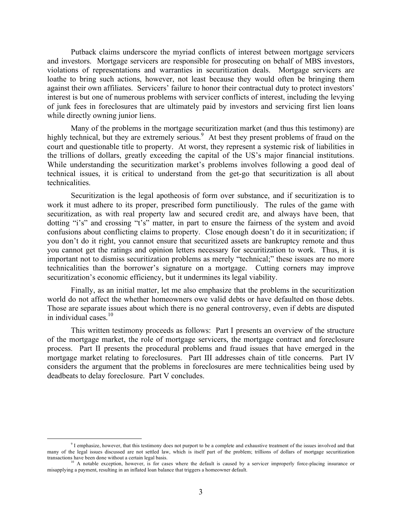Putback claims underscore the myriad conflicts of interest between mortgage servicers and investors. Mortgage servicers are responsible for prosecuting on behalf of MBS investors, violations of representations and warranties in securitization deals. Mortgage servicers are loathe to bring such actions, however, not least because they would often be bringing them against their own affiliates. Servicers' failure to honor their contractual duty to protect investors' interest is but one of numerous problems with servicer conflicts of interest, including the levying of junk fees in foreclosures that are ultimately paid by investors and servicing first lien loans while directly owning junior liens.

Many of the problems in the mortgage securitization market (and thus this testimony) are highly technical, but they are extremely serious.<sup>9</sup> At best they present problems of fraud on the court and questionable title to property. At worst, they represent a systemic risk of liabilities in the trillions of dollars, greatly exceeding the capital of the US's major financial institutions. While understanding the securitization market's problems involves following a good deal of technical issues, it is critical to understand from the get-go that securitization is all about technicalities.

Securitization is the legal apotheosis of form over substance, and if securitization is to work it must adhere to its proper, prescribed form punctiliously. The rules of the game with securitization, as with real property law and secured credit are, and always have been, that dotting "i's" and crossing "t's" matter, in part to ensure the fairness of the system and avoid confusions about conflicting claims to property. Close enough doesn't do it in securitization; if you don't do it right, you cannot ensure that securitized assets are bankruptcy remote and thus you cannot get the ratings and opinion letters necessary for securitization to work. Thus, it is important not to dismiss securitization problems as merely "technical;" these issues are no more technicalities than the borrower's signature on a mortgage. Cutting corners may improve securitization's economic efficiency, but it undermines its legal viability.

Finally, as an initial matter, let me also emphasize that the problems in the securitization world do not affect the whether homeowners owe valid debts or have defaulted on those debts. Those are separate issues about which there is no general controversy, even if debts are disputed in individual cases  $10^{-10}$ 

This written testimony proceeds as follows: Part I presents an overview of the structure of the mortgage market, the role of mortgage servicers, the mortgage contract and foreclosure process. Part II presents the procedural problems and fraud issues that have emerged in the mortgage market relating to foreclosures. Part III addresses chain of title concerns. Part IV considers the argument that the problems in foreclosures are mere technicalities being used by deadbeats to delay foreclosure. Part V concludes.

 <sup>9</sup> <sup>9</sup> I emphasize, however, that this testimony does not purport to be a complete and exhaustive treatment of the issues involved and that many of the legal issues discussed are not settled law, which is itself part of the problem; trillions of dollars of mortgage securitization transactions have been done without a certain legal basis.

 $10$  A notable exception, however, is for cases where the default is caused by a servicer improperly force-placing insurance or misapplying a payment, resulting in an inflated loan balance that triggers a homeowner default.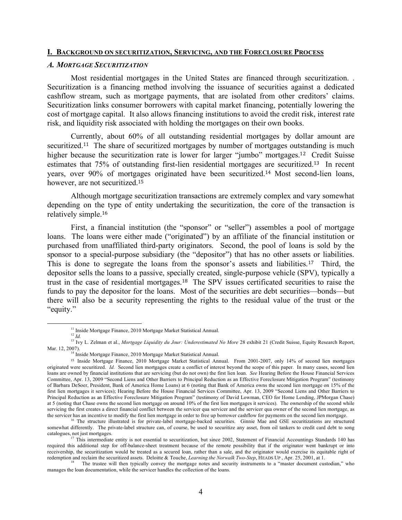#### **I. BACKGROUND ON SECURITIZATION, SERVICING, AND THE FORECLOSURE PROCESS**

#### *A. MORTGAGE SECURITIZATION*

Most residential mortgages in the United States are financed through securitization. . Securitization is a financing method involving the issuance of securities against a dedicated cashflow stream, such as mortgage payments, that are isolated from other creditors' claims. Securitization links consumer borrowers with capital market financing, potentially lowering the cost of mortgage capital. It also allows financing institutions to avoid the credit risk, interest rate risk, and liquidity risk associated with holding the mortgages on their own books.

Currently, about 60% of all outstanding residential mortgages by dollar amount are securitized.<sup>11</sup> The share of securitized mortgages by number of mortgages outstanding is much higher because the securitization rate is lower for larger "jumbo" mortgages.<sup>12</sup> Credit Suisse estimates that 75% of outstanding first-lien residential mortgages are securitized.13 In recent years, over 90% of mortgages originated have been securitized.14 Most second-lien loans, however, are not securitized.<sup>15</sup>

Although mortgage securitization transactions are extremely complex and vary somewhat depending on the type of entity undertaking the securitization, the core of the transaction is relatively simple.<sup>16</sup>

First, a financial institution (the "sponsor" or "seller") assembles a pool of mortgage loans. The loans were either made ("originated") by an affiliate of the financial institution or purchased from unaffiliated third-party originators. Second, the pool of loans is sold by the sponsor to a special-purpose subsidiary (the "depositor") that has no other assets or liabilities. This is done to segregate the loans from the sponsor's assets and liabilities.17 Third, the depositor sells the loans to a passive, specially created, single-purpose vehicle (SPV), typically a trust in the case of residential mortgages.18 The SPV issues certificated securities to raise the funds to pay the depositor for the loans. Most of the securities are debt securities—bonds—but there will also be a security representing the rights to the residual value of the trust or the "equity."

<sup>&</sup>lt;sup>11</sup> Inside Mortgage Finance, 2010 Mortgage Market Statistical Annual.

<sup>12</sup> *Id.*

<sup>&</sup>lt;sup>13</sup> Ivy L. Zelman et al., *Mortgage Liquidity du Jour: Underestimated No More* 28 exhibit 21 (Credit Suisse, Equity Research Report, Mar. 12, 2007).

<sup>&</sup>lt;sup>14</sup> Inside Mortgage Finance, 2010 Mortgage Market Statistical Annual.

<sup>15</sup> Inside Mortgage Finance, 2010 Mortgage Market Statistical Annual. From 2001-2007, only 14% of second lien mortgages originated were securitized. *Id.* Second lien mortgages create a conflict of interest beyond the scope of this paper. In many cases, second lien loans are owned by financial institutions that are servicing (but do not own) the first lien loan. *See* Hearing Before the House Financial Services Committee, Apr. 13, 2009 "Second Liens and Other Barriers to Principal Reduction as an Effective Foreclosure Mitigation Program" (testimony of Barbara DeSoer, President, Bank of America Home Loans) at 6 (noting that Bank of America owns the second lien mortgage on 15% of the first lien mortgages it services); Hearing Before the House Financial Services Committee, Apr. 13, 2009 "Second Liens and Other Barriers to Principal Reduction as an Effective Foreclosure Mitigation Program" (testimony of David Lowman, CEO for Home Lending, JPMorgan Chase) at 5 (noting that Chase owns the second lien mortgage on around 10% of the first lien mortgages it services). The ownership of the second while servicing the first creates a direct financial conflict between the servicer qua servicer and the servicer qua owner of the second lien mortgage, as the servicer has an incentive to modify the first lien mortgage in order to free up borrower cashflow for payments on the second lien mortgage.<br><sup>16</sup> The structure illustrated is for private-label mortgage-backed securities

somewhat differently. The private-label structure can, of course, be used to securitize any asset, from oil tankers to credit card debt to song catalogues, not just mortgages.

 $17$  This intermediate entity is not essential to securitization, but since 2002, Statement of Financial Accountings Standards 140 has required this additional step for off-balance-sheet treatment because of the remote possibility that if the originator went bankrupt or into receivership, the securitization would be treated as a secured loan, rather than a sale, and the originator would exercise its equitable right of redemption and reclaim the securitized assets. Deloitte & Touche, *Learning the Norwalk Two-Step*, HEADS UP , Apr. 25, 2001, at 1.

The trustee will then typically convey the mortgage notes and security instruments to a "master document custodian," who manages the loan documentation, while the servicer handles the collection of the loans.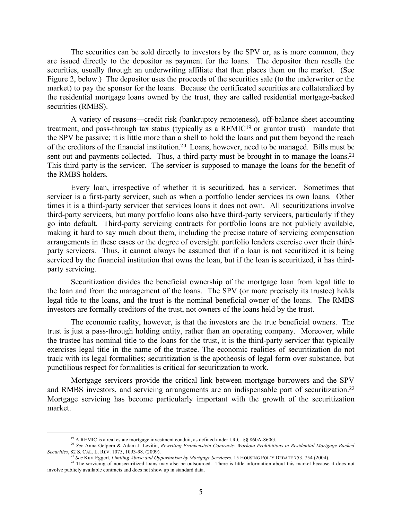The securities can be sold directly to investors by the SPV or, as is more common, they are issued directly to the depositor as payment for the loans. The depositor then resells the securities, usually through an underwriting affiliate that then places them on the market. (See Figure 2, below.) The depositor uses the proceeds of the securities sale (to the underwriter or the market) to pay the sponsor for the loans. Because the certificated securities are collateralized by the residential mortgage loans owned by the trust, they are called residential mortgage-backed securities (RMBS).

A variety of reasons—credit risk (bankruptcy remoteness), off-balance sheet accounting treatment, and pass-through tax status (typically as a REMIC19 or grantor trust)—mandate that the SPV be passive; it is little more than a shell to hold the loans and put them beyond the reach of the creditors of the financial institution.20 Loans, however, need to be managed. Bills must be sent out and payments collected. Thus, a third-party must be brought in to manage the loans.<sup>21</sup> This third party is the servicer. The servicer is supposed to manage the loans for the benefit of the RMBS holders.

Every loan, irrespective of whether it is securitized, has a servicer. Sometimes that servicer is a first-party servicer, such as when a portfolio lender services its own loans. Other times it is a third-party servicer that services loans it does not own. All securitizations involve third-party servicers, but many portfolio loans also have third-party servicers, particularly if they go into default. Third-party servicing contracts for portfolio loans are not publicly available, making it hard to say much about them, including the precise nature of servicing compensation arrangements in these cases or the degree of oversight portfolio lenders exercise over their thirdparty servicers. Thus, it cannot always be assumed that if a loan is not securitized it is being serviced by the financial institution that owns the loan, but if the loan is securitized, it has thirdparty servicing.

Securitization divides the beneficial ownership of the mortgage loan from legal title to the loan and from the management of the loans. The SPV (or more precisely its trustee) holds legal title to the loans, and the trust is the nominal beneficial owner of the loans. The RMBS investors are formally creditors of the trust, not owners of the loans held by the trust.

The economic reality, however, is that the investors are the true beneficial owners. The trust is just a pass-through holding entity, rather than an operating company. Moreover, while the trustee has nominal title to the loans for the trust, it is the third-party servicer that typically exercises legal title in the name of the trustee. The economic realities of securitization do not track with its legal formalities; securitization is the apotheosis of legal form over substance, but punctilious respect for formalities is critical for securitization to work.

Mortgage servicers provide the critical link between mortgage borrowers and the SPV and RMBS investors, and servicing arrangements are an indispensable part of securitization.<sup>22</sup> Mortgage servicing has become particularly important with the growth of the securitization market.

<sup>&</sup>lt;sup>19</sup> A REMIC is a real estate mortgage investment conduit, as defined under I.R.C. §§ 860A-860G.

<sup>20</sup> *See* Anna Gelpern & Adam J. Levitin, *Rewriting Frankenstein Contracts: Workout Prohibitions in Residential Mortgage Backed Securities*, 82 S. CAL. L. REV. 1075, 1093-98. (2009).

<sup>21</sup> *See* Kurt Eggert, *Limiting Abuse and Opportunism by Mortgage Servicers*, 15 HOUSING POL'Y DEBATE 753, 754 (2004).

 $22$  The servicing of nonsecuritized loans may also be outsourced. There is little information about this market because it does not involve publicly available contracts and does not show up in standard data.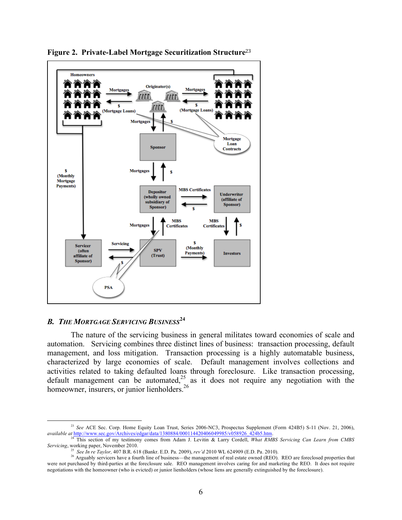

**Figure 2. Private-Label Mortgage Securitization Structure**<sup>23</sup>

# *B. THE MORTGAGE SERVICING BUSINESS***<sup>24</sup>**

The nature of the servicing business in general militates toward economies of scale and automation. Servicing combines three distinct lines of business: transaction processing, default management, and loss mitigation. Transaction processing is a highly automatable business, characterized by large economies of scale. Default management involves collections and activities related to taking defaulted loans through foreclosure. Like transaction processing, default management can be automated,<sup>25</sup> as it does not require any negotiation with the homeowner, insurers, or junior lienholders.<sup>26</sup>

 <sup>23</sup> *See* ACE Sec. Corp. Home Equity Loan Trust, Series 2006-NC3, Prospectus Supplement (Form 424B5) S-11 (Nov. 21, 2006), *available at* http://www.sec.gov/Archives/edgar/data/1380884/000114420406049985/v058926\_424b5.htm.

<sup>&</sup>lt;sup>24</sup> This section of my testimony comes from Adam J. Levitin & Larry Cordell, *What RMBS Servicing Can Learn from CMBS Servicing*, working paper, November 2010.

<sup>25</sup> *See In re Taylor,* 407 B.R. 618 (Bankr. E.D. Pa. 2009), *rev'd* 2010 WL 624909 (E.D. Pa. 2010).

<sup>&</sup>lt;sup>26</sup> Arguably servicers have a fourth line of business—the management of real estate owned (REO). REO are foreclosed properties that were not purchased by third-parties at the foreclosure sale. REO management involves caring for and marketing the REO. It does not require negotiations with the homeowner (who is evicted) or junior lienholders (whose liens are generally extinguished by the foreclosure).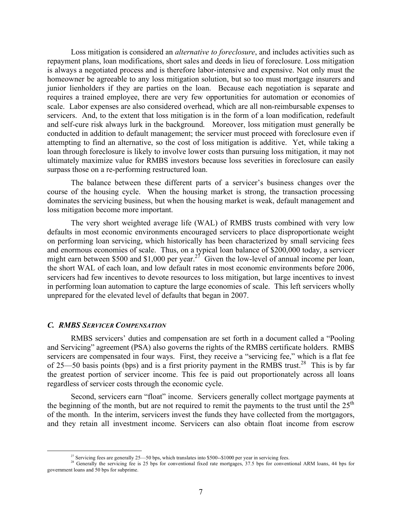Loss mitigation is considered an *alternative to foreclosure*, and includes activities such as repayment plans, loan modifications, short sales and deeds in lieu of foreclosure. Loss mitigation is always a negotiated process and is therefore labor-intensive and expensive. Not only must the homeowner be agreeable to any loss mitigation solution, but so too must mortgage insurers and junior lienholders if they are parties on the loan. Because each negotiation is separate and requires a trained employee, there are very few opportunities for automation or economies of scale. Labor expenses are also considered overhead, which are all non-reimbursable expenses to servicers. And, to the extent that loss mitigation is in the form of a loan modification, redefault and self-cure risk always lurk in the background. Moreover, loss mitigation must generally be conducted in addition to default management; the servicer must proceed with foreclosure even if attempting to find an alternative, so the cost of loss mitigation is additive. Yet, while taking a loan through foreclosure is likely to involve lower costs than pursuing loss mitigation, it may not ultimately maximize value for RMBS investors because loss severities in foreclosure can easily surpass those on a re-performing restructured loan.

The balance between these different parts of a servicer's business changes over the course of the housing cycle. When the housing market is strong, the transaction processing dominates the servicing business, but when the housing market is weak, default management and loss mitigation become more important.

The very short weighted average life (WAL) of RMBS trusts combined with very low defaults in most economic environments encouraged servicers to place disproportionate weight on performing loan servicing, which historically has been characterized by small servicing fees and enormous economies of scale. Thus, on a typical loan balance of \$200,000 today, a servicer might earn between \$500 and \$1,000 per year.<sup>27</sup> Given the low-level of annual income per loan, the short WAL of each loan, and low default rates in most economic environments before 2006, servicers had few incentives to devote resources to loss mitigation, but large incentives to invest in performing loan automation to capture the large economies of scale. This left servicers wholly unprepared for the elevated level of defaults that began in 2007.

#### *C. RMBS SERVICER COMPENSATION*

RMBS servicers' duties and compensation are set forth in a document called a "Pooling and Servicing" agreement (PSA) also governs the rights of the RMBS certificate holders. RMBS servicers are compensated in four ways. First, they receive a "servicing fee," which is a flat fee of 25—50 basis points (bps) and is a first priority payment in the RMBS trust.<sup>28</sup> This is by far the greatest portion of servicer income. This fee is paid out proportionately across all loans regardless of servicer costs through the economic cycle.

Second, servicers earn "float" income. Servicers generally collect mortgage payments at the beginning of the month, but are not required to remit the payments to the trust until the  $25<sup>th</sup>$ of the month. In the interim, servicers invest the funds they have collected from the mortgagors, and they retain all investment income. Servicers can also obtain float income from escrow

<sup>&</sup>lt;sup>27</sup> Servicing fees are generally 25—50 bps, which translates into \$500--\$1000 per year in servicing fees.

<sup>&</sup>lt;sup>28</sup> Generally the servicing fee is 25 bps for conventional fixed rate mortgages, 37.5 bps for conventional ARM loans, 44 bps for government loans and 50 bps for subprime.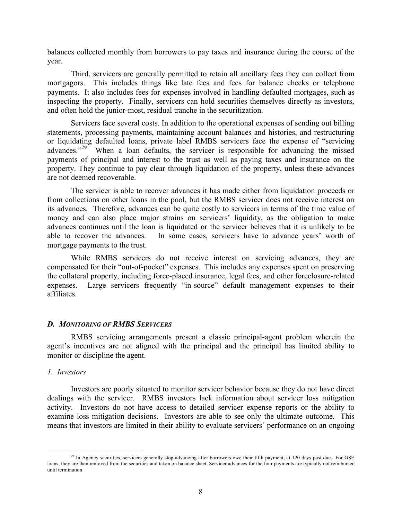balances collected monthly from borrowers to pay taxes and insurance during the course of the year.

Third, servicers are generally permitted to retain all ancillary fees they can collect from mortgagors. This includes things like late fees and fees for balance checks or telephone payments. It also includes fees for expenses involved in handling defaulted mortgages, such as inspecting the property. Finally, servicers can hold securities themselves directly as investors, and often hold the junior-most, residual tranche in the securitization.

Servicers face several costs. In addition to the operational expenses of sending out billing statements, processing payments, maintaining account balances and histories, and restructuring or liquidating defaulted loans, private label RMBS servicers face the expense of "servicing advances."<sup>29</sup> When a loan defaults, the servicer is responsible for advancing the missed payments of principal and interest to the trust as well as paying taxes and insurance on the property. They continue to pay clear through liquidation of the property, unless these advances are not deemed recoverable.

The servicer is able to recover advances it has made either from liquidation proceeds or from collections on other loans in the pool, but the RMBS servicer does not receive interest on its advances. Therefore, advances can be quite costly to servicers in terms of the time value of money and can also place major strains on servicers' liquidity, as the obligation to make advances continues until the loan is liquidated or the servicer believes that it is unlikely to be able to recover the advances. In some cases, servicers have to advance years' worth of mortgage payments to the trust.

While RMBS servicers do not receive interest on servicing advances, they are compensated for their "out-of-pocket" expenses. This includes any expenses spent on preserving the collateral property, including force-placed insurance, legal fees, and other foreclosure-related expenses. Large servicers frequently "in-source" default management expenses to their affiliates.

### *D. MONITORING OF RMBS SERVICERS*

RMBS servicing arrangements present a classic principal-agent problem wherein the agent's incentives are not aligned with the principal and the principal has limited ability to monitor or discipline the agent.

### *1. Investors*

Investors are poorly situated to monitor servicer behavior because they do not have direct dealings with the servicer. RMBS investors lack information about servicer loss mitigation activity. Investors do not have access to detailed servicer expense reports or the ability to examine loss mitigation decisions. Investors are able to see only the ultimate outcome. This means that investors are limited in their ability to evaluate servicers' performance on an ongoing

 $29$  In Agency securities, servicers generally stop advancing after borrowers owe their fifth payment, at 120 days past due. For GSE loans, they are then removed from the securities and taken on balance sheet. Servicer advances for the four payments are typically not reimbursed until termination.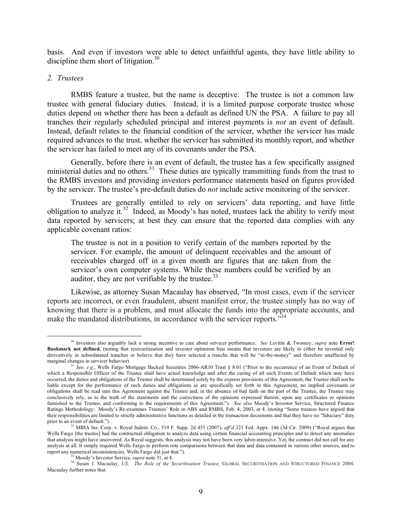basis. And even if investors were able to detect unfaithful agents, they have little ability to discipline them short of litigation. $30$ 

### *2. Trustees*

RMBS feature a trustee, but the name is deceptive. The trustee is not a common law trustee with general fiduciary duties. Instead, it is a limited purpose corporate trustee whose duties depend on whether there has been a default as defined UN the PSA. A failure to pay all tranches their regularly scheduled principal and interest payments is *not* an event of default. Instead, default relates to the financial condition of the servicer, whether the servicer has made required advances to the trust, whether the servicer has submitted its monthly report, and whether the servicer has failed to meet any of its covenants under the PSA.

Generally, before there is an event of default, the trustee has a few specifically assigned ministerial duties and no others.<sup>31</sup> These duties are typically transmitting funds from the trust to the RMBS investors and providing investors performance statements based on figures provided by the servicer. The trustee's pre-default duties do *not* include active monitoring of the servicer.

Trustees are generally entitled to rely on servicers' data reporting, and have little obligation to analyze it.32 Indeed, as Moody's has noted, trustees lack the ability to verify most data reported by servicers; at best they can ensure that the reported data complies with any applicable covenant ratios:

The trustee is not in a position to verify certain of the numbers reported by the servicer. For example, the amount of delinquent receivables and the amount of receivables charged off in a given month are figures that are taken from the servicer's own computer systems. While these numbers could be verified by an auditor, they are not verifiable by the trustee.<sup>33</sup>

Likewise, as attorney Susan Macaulay has observed, "In most cases, even if the servicer reports are incorrect, or even fraudulent, absent manifest error, the trustee simply has no way of knowing that there is a problem, and must allocate the funds into the appropriate accounts, and make the mandated distributions, in accordance with the servicer reports."<sup>34</sup>

 <sup>30</sup> Investors also arguably lack a strong incentive to care about servicer performance. *See* Levitin & Twomey, *supra* note **Error! Bookmark not defined.** (noting that resecuritization and investor optimism bias means that investors are likely to either be invested only derivatively in subordinated tranches or believe that they have selected a tranche that will be "in-the-money" and therefore unaffected by marginal changes in servicer behavior).

See, e.g., Wells Fargo Mortgage Backed Securities 2006-AR10 Trust § 8.01 ("Prior to the occurrence of an Event of Default of which a Responsible Officer of the Trustee shall have actual knowledge and after the curing of all such Events of Default which may have occurred, the duties and obligations of the Trustee shall be determined solely by the express provisions of this Agreement, the Trustee shall not be liable except for the performance of such duties and obligations as are specifically set forth in this Agreement, no implied covenants or obligations shall be read into this Agreement against the Trustee and, in the absence of bad faith on the part of the Trustee, the Trustee may conclusively rely, as to the truth of the statements and the correctness of the opinions expressed therein, upon any certificates or opinions furnished to the Trustee, and conforming to the requirements of this Agreement."). *See also* Moody's Investor Service, Structured Finance Ratings Methodology: Moody's Re-examines Trustees' Role in ABS and RMBS, Feb. 4, 2003, at 4. (noting "Some trustees have argued that their responsibilities are limited to strictly administrative functions as detailed in the transaction documents and that they have no "fiduciary" duty prior to an event of default.").

MBIA Ins. Corp. v. Royal Indem. Co., 519 F. Supp. 2d 455 (2007), aff'd 321 Fed. Appx. 146 (3d Cir. 2009) ("Royal argues that Wells Fargo [the trustee] had the contractual obligation to analyze data using certain financial accounting principles and to detect any anomalies that analysis might have uncovered. As Royal suggests, this analysis may not have been very labor-intensive. Yet, the contract did not call for any analysis at all. It simply required Wells Fargo to perform rote comparisons between that data and data contained in various other sources, and to report any numerical inconsistencies. Wells Fargo did just that.").

<sup>33</sup> Moody's Investor Service, *supra* note 31, at 4.

<sup>34</sup> Susan J. Macaulay, *US: The Role of the Securitisation Trustee,* GLOBAL SECURITISATION AND STRUCTURED FINANCE 2004. Macaulay further notes that: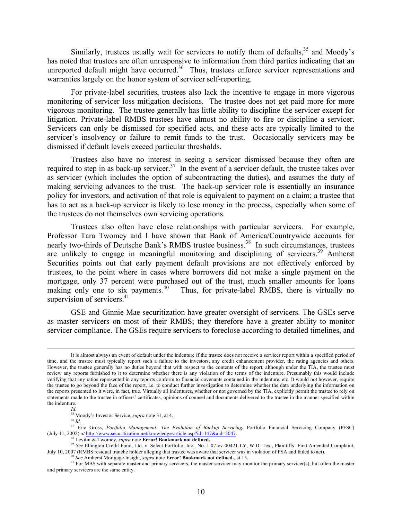Similarly, trustees usually wait for servicers to notify them of defaults,<sup>35</sup> and Moody's has noted that trustees are often unresponsive to information from third parties indicating that an unreported default might have occurred.<sup>36</sup> Thus, trustees enforce servicer representations and warranties largely on the honor system of servicer self-reporting.

For private-label securities, trustees also lack the incentive to engage in more vigorous monitoring of servicer loss mitigation decisions. The trustee does not get paid more for more vigorous monitoring. The trustee generally has little ability to discipline the servicer except for litigation. Private-label RMBS trustees have almost no ability to fire or discipline a servicer. Servicers can only be dismissed for specified acts, and these acts are typically limited to the servicer's insolvency or failure to remit funds to the trust. Occasionally servicers may be dismissed if default levels exceed particular thresholds.

Trustees also have no interest in seeing a servicer dismissed because they often are required to step in as back-up servicer.<sup>37</sup> In the event of a servicer default, the trustee takes over as servicer (which includes the option of subcontracting the duties), and assumes the duty of making servicing advances to the trust. The back-up servicer role is essentially an insurance policy for investors, and activation of that role is equivalent to payment on a claim; a trustee that has to act as a back-up servicer is likely to lose money in the process, especially when some of the trustees do not themselves own servicing operations.

Trustees also often have close relationships with particular servicers. For example, Professor Tara Twomey and I have shown that Bank of America/Countrywide accounts for nearly two-thirds of Deutsche Bank's RMBS trustee business.<sup>38</sup> In such circumstances, trustees are unlikely to engage in meaningful monitoring and disciplining of servicers.<sup>39</sup> Amherst Securities points out that early payment default provisions are not effectively enforced by trustees, to the point where in cases where borrowers did not make a single payment on the mortgage, only 37 percent were purchased out of the trust, much smaller amounts for loans making only one to six payments.<sup>40</sup> Thus, for private-label RMBS, there is virtually no supervision of servicers.<sup>41</sup>

GSE and Ginnie Mae securitization have greater oversight of servicers. The GSEs serve as master servicers on most of their RMBS; they therefore have a greater ability to monitor servicer compliance. The GSEs require servicers to foreclose according to detailed timelines, and

38 Levitin & Twomey, *supra* note **Error! Bookmark not defined.**.

It is almost always an event of default under the indenture if the trustee does not receive a servicer report within a specified period of time, and the trustee must typically report such a failure to the investors, any credit enhancement provider, the rating agencies and others. However, the trustee generally has no duties beyond that with respect to the contents of the report, although under the TIA, the trustee must review any reports furnished to it to determine whether there is any violation of the terms of the indenture. Presumably this would include verifying that any ratios represented in any reports conform to financial covenants contained in the indenture, etc. It would not however, require the trustee to go beyond the face of the report, i.e. to conduct further investigation to determine whether the data underlying the information on the reports presented to it were, in fact, true. Virtually all indentures, whether or not governed by the TIA, explicitly permit the trustee to rely on statements made to the trustee in officers' certificates, opinions of counsel and documents delivered to the trustee in the manner specified within the indenture.

*Id.* 

<sup>35</sup> Moody's Investor Service, *supra* note 31, at 4.

<sup>36</sup> *Id.* 

<sup>37</sup> Eric Gross, *Portfolio Management: The Evolution of Backup Servicing***,** Portfolio Financial Servicing Company (PFSC) (July 11, 2002) *at* http://www.securitization.net/knowledge/article.asp?id=147&aid=2047.

<sup>&</sup>lt;sup>39</sup> See Ellington Credit Fund, Ltd. v. Select Portfolio, Inc., No. 1:07-cv-00421-LY, W.D. Tex., Plaintiffs' First Amended Complaint, July 10, 2007 (RMBS residual tranche holder alleging that trustee was aware that servicer was in violation of PSA and failed to act).<br><sup>40</sup> See Amherst Mortgage Insight, *supra* note **Error! Bookmark not defined.**, at 15.

 $41$  For MBS with separate master and primary servicers, the master servicer may monitor the primary servicer(s), but often the master  $\frac{1}{2}$ and primary servicers are the same entity.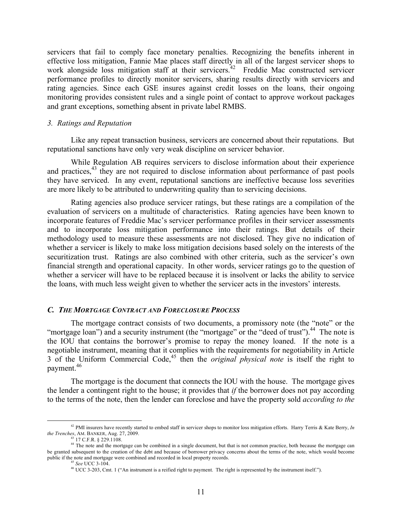servicers that fail to comply face monetary penalties. Recognizing the benefits inherent in effective loss mitigation, Fannie Mae places staff directly in all of the largest servicer shops to work alongside loss mitigation staff at their servicers.<sup>42</sup> Freddie Mac constructed servicer performance profiles to directly monitor servicers, sharing results directly with servicers and rating agencies. Since each GSE insures against credit losses on the loans, their ongoing monitoring provides consistent rules and a single point of contact to approve workout packages and grant exceptions, something absent in private label RMBS.

### *3. Ratings and Reputation*

Like any repeat transaction business, servicers are concerned about their reputations. But reputational sanctions have only very weak discipline on servicer behavior.

While Regulation AB requires servicers to disclose information about their experience and practices,<sup>43</sup> they are not required to disclose information about performance of past pools they have serviced. In any event, reputational sanctions are ineffective because loss severities are more likely to be attributed to underwriting quality than to servicing decisions.

Rating agencies also produce servicer ratings, but these ratings are a compilation of the evaluation of servicers on a multitude of characteristics. Rating agencies have been known to incorporate features of Freddie Mac's servicer performance profiles in their servicer assessments and to incorporate loss mitigation performance into their ratings. But details of their methodology used to measure these assessments are not disclosed. They give no indication of whether a servicer is likely to make loss mitigation decisions based solely on the interests of the securitization trust. Ratings are also combined with other criteria, such as the servicer's own financial strength and operational capacity. In other words, servicer ratings go to the question of whether a servicer will have to be replaced because it is insolvent or lacks the ability to service the loans, with much less weight given to whether the servicer acts in the investors' interests.

### *C. THE MORTGAGE CONTRACT AND FORECLOSURE PROCESS*

The mortgage contract consists of two documents, a promissory note (the "note" or the "mortgage loan") and a security instrument (the "mortgage" or the "deed of trust").<sup>44</sup> The note is the IOU that contains the borrower's promise to repay the money loaned. If the note is a negotiable instrument, meaning that it complies with the requirements for negotiability in Article 3 of the Uniform Commercial Code,<sup>45</sup> then the *original physical note* is itself the right to payment.46

The mortgage is the document that connects the IOU with the house. The mortgage gives the lender a contingent right to the house; it provides that *if* the borrower does not pay according to the terms of the note, then the lender can foreclose and have the property sold *according to the* 

 <sup>42</sup> PMI insurers have recently started to embed staff in servicer shops to monitor loss mitigation efforts. Harry Terris & Kate Berry, *In the Trenches*, AM. BANKER, Aug. 27, 2009.<br><sup>43</sup> 17 C.F.R. § 229.1108.

<sup>&</sup>lt;sup>44</sup> The note and the mortgage can be combined in a single document, but that is not common practice, both because the mortgage can be granted subsequent to the creation of the debt and because of borrower privacy concerns about the terms of the note, which would become public if the note and mortgage were combined and recorded in local property records. 45 *See* UCC 3-104.

<sup>46</sup> UCC 3-203, Cmt. 1 ("An instrument is a reified right to payment. The right is represented by the instrument itself.").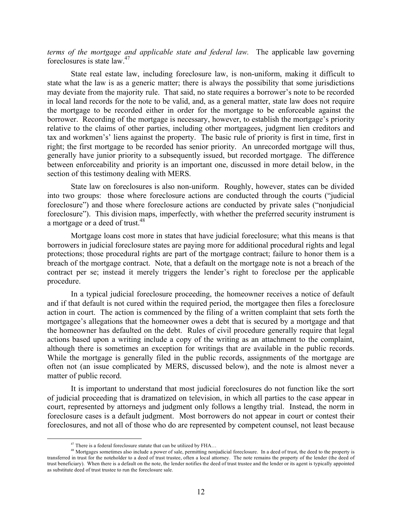*terms of the mortgage and applicable state and federal law.* The applicable law governing foreclosures is state law.47

State real estate law, including foreclosure law, is non-uniform, making it difficult to state what the law is as a generic matter; there is always the possibility that some jurisdictions may deviate from the majority rule. That said, no state requires a borrower's note to be recorded in local land records for the note to be valid, and, as a general matter, state law does not require the mortgage to be recorded either in order for the mortgage to be enforceable against the borrower. Recording of the mortgage is necessary, however, to establish the mortgage's priority relative to the claims of other parties, including other mortgagees, judgment lien creditors and tax and workmen's' liens against the property. The basic rule of priority is first in time, first in right; the first mortgage to be recorded has senior priority. An unrecorded mortgage will thus, generally have junior priority to a subsequently issued, but recorded mortgage. The difference between enforceability and priority is an important one, discussed in more detail below, in the section of this testimony dealing with MERS.

State law on foreclosures is also non-uniform. Roughly, however, states can be divided into two groups: those where foreclosure actions are conducted through the courts ("judicial foreclosure") and those where foreclosure actions are conducted by private sales ("nonjudicial foreclosure"). This division maps, imperfectly, with whether the preferred security instrument is a mortgage or a deed of trust.<sup>48</sup>

Mortgage loans cost more in states that have judicial foreclosure; what this means is that borrowers in judicial foreclosure states are paying more for additional procedural rights and legal protections; those procedural rights are part of the mortgage contract; failure to honor them is a breach of the mortgage contract. Note, that a default on the mortgage note is not a breach of the contract per se; instead it merely triggers the lender's right to foreclose per the applicable procedure.

In a typical judicial foreclosure proceeding, the homeowner receives a notice of default and if that default is not cured within the required period, the mortgagee then files a foreclosure action in court. The action is commenced by the filing of a written complaint that sets forth the mortgagee's allegations that the homeowner owes a debt that is secured by a mortgage and that the homeowner has defaulted on the debt. Rules of civil procedure generally require that legal actions based upon a writing include a copy of the writing as an attachment to the complaint, although there is sometimes an exception for writings that are available in the public records. While the mortgage is generally filed in the public records, assignments of the mortgage are often not (an issue complicated by MERS, discussed below), and the note is almost never a matter of public record.

It is important to understand that most judicial foreclosures do not function like the sort of judicial proceeding that is dramatized on television, in which all parties to the case appear in court, represented by attorneys and judgment only follows a lengthy trial. Instead, the norm in foreclosure cases is a default judgment. Most borrowers do not appear in court or contest their foreclosures, and not all of those who do are represented by competent counsel, not least because

 $47$  There is a federal foreclosure statute that can be utilized by FHA...

<sup>&</sup>lt;sup>48</sup> Mortgages sometimes also include a power of sale, permitting nonjudicial foreclosure. In a deed of trust, the deed to the property is transferred in trust for the noteholder to a deed of trust trustee, often a local attorney. The note remains the property of the lender (the deed of trust beneficiary). When there is a default on the note, the lender notifies the deed of trust trustee and the lender or its agent is typically appointed as substitute deed of trust trustee to run the foreclosure sale.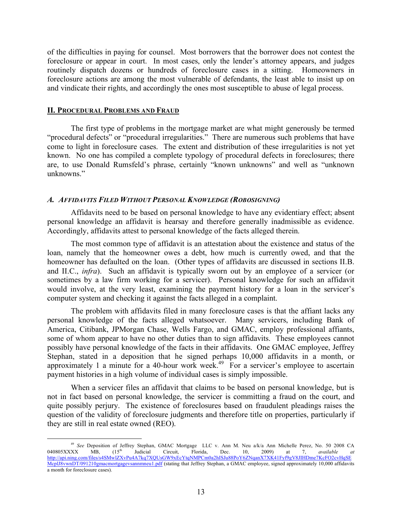of the difficulties in paying for counsel. Most borrowers that the borrower does not contest the foreclosure or appear in court. In most cases, only the lender's attorney appears, and judges routinely dispatch dozens or hundreds of foreclosure cases in a sitting. Homeowners in foreclosure actions are among the most vulnerable of defendants, the least able to insist up on and vindicate their rights, and accordingly the ones most susceptible to abuse of legal process.

### **II. PROCEDURAL PROBLEMS AND FRAUD**

The first type of problems in the mortgage market are what might generously be termed "procedural defects" or "procedural irregularities." There are numerous such problems that have come to light in foreclosure cases. The extent and distribution of these irregularities is not yet known. No one has compiled a complete typology of procedural defects in foreclosures; there are, to use Donald Rumsfeld's phrase, certainly "known unknowns" and well as "unknown unknowns."

#### *A. AFFIDAVITS FILED WITHOUT PERSONAL KNOWLEDGE (ROBOSIGNING)*

Affidavits need to be based on personal knowledge to have any evidentiary effect; absent personal knowledge an affidavit is hearsay and therefore generally inadmissible as evidence. Accordingly, affidavits attest to personal knowledge of the facts alleged therein.

The most common type of affidavit is an attestation about the existence and status of the loan, namely that the homeowner owes a debt, how much is currently owed, and that the homeowner has defaulted on the loan. (Other types of affidavits are discussed in sections II.B. and II.C., *infra*). Such an affidavit is typically sworn out by an employee of a servicer (or sometimes by a law firm working for a servicer). Personal knowledge for such an affidavit would involve, at the very least, examining the payment history for a loan in the servicer's computer system and checking it against the facts alleged in a complaint.

The problem with affidavits filed in many foreclosure cases is that the affiant lacks any personal knowledge of the facts alleged whatsoever. Many servicers, including Bank of America, Citibank, JPMorgan Chase, Wells Fargo, and GMAC, employ professional affiants, some of whom appear to have no other duties than to sign affidavits. These employees cannot possibly have personal knowledge of the facts in their affidavits. One GMAC employee, Jeffrey Stephan, stated in a deposition that he signed perhaps 10,000 affidavits in a month, or approximately 1 a minute for a 40-hour work week.<sup> $49$ </sup> For a servicer's employee to ascertain payment histories in a high volume of individual cases is simply impossible.

When a servicer files an affidavit that claims to be based on personal knowledge, but is not in fact based on personal knowledge, the servicer is committing a fraud on the court, and quite possibly perjury. The existence of foreclosures based on fraudulent pleadings raises the question of the validity of foreclosure judgments and therefore title on properties, particularly if they are still in real estate owned (REO).

<sup>&</sup>lt;sup>49</sup> See Deposition of Jeffrey Stephan, GMAC Mortgage LLC v. Ann M. Neu a/k/a Ann Michelle Perez, No. 50 2008 CA 040805XXXX MB, (15<sup>th</sup> Judicial Circuit, Florida, Dec. 10, 2009) at 7, available at  $\widehat{M}B$ , (15<sup>th</sup> Judicial Circuit, Florida, Dec. 10, 2009) at 7, *available at* http://api.ning.com/files/s4SMwlZXvPu4A7kq7XQUsGW9xEcYtqNMPCm0a2hISJu88PoY6ZNqanX7XK41Fyf9gV8JIHDme7KcFO2cvHqSE McplJ8vwnDT/091210gmacmortgagevsannmneu1.pdf (stating that Jeffrey Stephan, a GMAC employee, signed approximately 10,000 affidavits a month for foreclosure cases).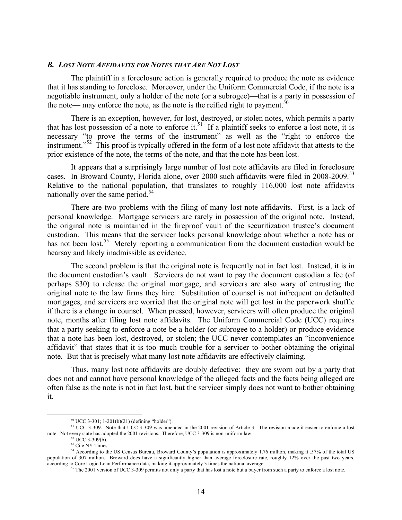### *B. LOST NOTE AFFIDAVITS FOR NOTES THAT ARE NOT LOST*

The plaintiff in a foreclosure action is generally required to produce the note as evidence that it has standing to foreclose. Moreover, under the Uniform Commercial Code, if the note is a negotiable instrument, only a holder of the note (or a subrogee)—that is a party in possession of the note— may enforce the note, as the note is the reified right to payment.<sup>50</sup>

There is an exception, however, for lost, destroyed, or stolen notes, which permits a party that has lost possession of a note to enforce it.<sup>51</sup> If a plaintiff seeks to enforce a lost note, it is necessary "to prove the terms of the instrument" as well as the "right to enforce the instrument."<sup>52</sup> This proof is typically offered in the form of a lost note affidavit that attests to the prior existence of the note, the terms of the note, and that the note has been lost.

It appears that a surprisingly large number of lost note affidavits are filed in foreclosure cases. In Broward County, Florida alone, over 2000 such affidavits were filed in 2008-2009.<sup>53</sup> Relative to the national population, that translates to roughly 116,000 lost note affidavits nationally over the same period.<sup>54</sup>

There are two problems with the filing of many lost note affidavits. First, is a lack of personal knowledge. Mortgage servicers are rarely in possession of the original note. Instead, the original note is maintained in the fireproof vault of the securitization trustee's document custodian. This means that the servicer lacks personal knowledge about whether a note has or has not been lost.<sup>55</sup> Merely reporting a communication from the document custodian would be hearsay and likely inadmissible as evidence.

The second problem is that the original note is frequently not in fact lost. Instead, it is in the document custodian's vault. Servicers do not want to pay the document custodian a fee (of perhaps \$30) to release the original mortgage, and servicers are also wary of entrusting the original note to the law firms they hire. Substitution of counsel is not infrequent on defaulted mortgages, and servicers are worried that the original note will get lost in the paperwork shuffle if there is a change in counsel. When pressed, however, servicers will often produce the original note, months after filing lost note affidavits. The Uniform Commercial Code (UCC) requires that a party seeking to enforce a note be a holder (or subrogee to a holder) or produce evidence that a note has been lost, destroyed, or stolen; the UCC never contemplates an "inconvenience affidavit" that states that it is too much trouble for a servicer to bother obtaining the original note. But that is precisely what many lost note affidavits are effectively claiming.

Thus, many lost note affidavits are doubly defective: they are sworn out by a party that does not and cannot have personal knowledge of the alleged facts and the facts being alleged are often false as the note is not in fact lost, but the servicer simply does not want to bother obtaining it.

<sup>&</sup>lt;sup>50</sup> UCC 3-301; 1-201(b)(21) (defining "holder").<br><sup>51</sup> UCC 3-309. Note that UCC 3-309 was amended in the 2001 revision of Article 3. The revision made it easier to enforce a lost note. Not every state has adopted the 2001 revisions. Therefore, UCC 3-309 is non-uniform law.<br>
<sup>52</sup> UCC 3-309(b).<br>
<sup>53</sup> Cite NY Times.

<sup>&</sup>lt;sup>54</sup> According to the US Census Bureau, Broward County's population is approximately 1.76 million, making it .57% of the total US population of 307 million. Broward does have a significantly higher than average foreclosure rate, roughly 12% over the past two years, according to Core Logic Loan Performance data, making it approximately 3 times the nat

<sup>&</sup>lt;sup>55</sup> The 2001 version of UCC 3-309 permits not only a party that has lost a note but a buyer from such a party to enforce a lost note.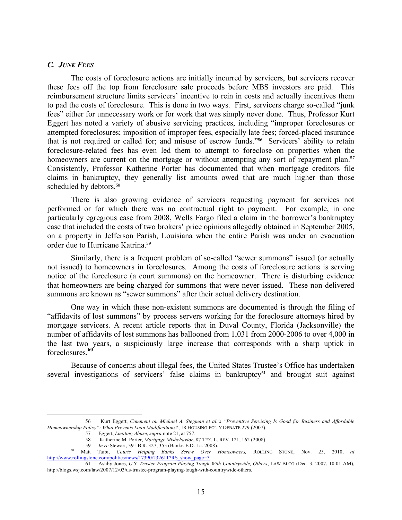### *C. JUNK FEES*

The costs of foreclosure actions are initially incurred by servicers, but servicers recover these fees off the top from foreclosure sale proceeds before MBS investors are paid. This reimbursement structure limits servicers' incentive to rein in costs and actually incentives them to pad the costs of foreclosure. This is done in two ways. First, servicers charge so-called "junk fees" either for unnecessary work or for work that was simply never done. Thus, Professor Kurt Eggert has noted a variety of abusive servicing practices, including "improper foreclosures or attempted foreclosures; imposition of improper fees, especially late fees; forced-placed insurance that is not required or called for; and misuse of escrow funds."56 Servicers' ability to retain foreclosure-related fees has even led them to attempt to foreclose on properties when the homeowners are current on the mortgage or without attempting any sort of repayment plan.<sup>57</sup> Consistently, Professor Katherine Porter has documented that when mortgage creditors file claims in bankruptcy, they generally list amounts owed that are much higher than those scheduled by debtors.<sup>58</sup>

There is also growing evidence of servicers requesting payment for services not performed or for which there was no contractual right to payment. For example, in one particularly egregious case from 2008, Wells Fargo filed a claim in the borrower's bankruptcy case that included the costs of two brokers' price opinions allegedly obtained in September 2005, on a property in Jefferson Parish, Louisiana when the entire Parish was under an evacuation order due to Hurricane Katrina.<sup>59</sup>

Similarly, there is a frequent problem of so-called "sewer summons" issued (or actually not issued) to homeowners in foreclosures. Among the costs of foreclosure actions is serving notice of the foreclosure (a court summons) on the homeowner. There is disturbing evidence that homeowners are being charged for summons that were never issued. These non-delivered summons are known as "sewer summons" after their actual delivery destination.

One way in which these non-existent summons are documented is through the filing of "affidavits of lost summons" by process servers working for the foreclosure attorneys hired by mortgage servicers. A recent article reports that in Duval County, Florida (Jacksonville) the number of affidavits of lost summons has ballooned from 1,031 from 2000-2006 to over 4,000 in the last two years, a suspiciously large increase that corresponds with a sharp uptick in foreclosures.**<sup>60</sup>**

Because of concerns about illegal fees, the United States Trustee's Office has undertaken several investigations of servicers' false claims in bankruptcy $61$  and brought suit against

 <sup>56</sup> Kurt Eggert, *Comment on Michael A. Stegman et al.'s "Preventive Servicing Is Good for Business and Affordable Homeownership Policy": What Prevents Loan Modifications?*, 18 HOUSING POL'Y DEBATE 279 (2007).

<sup>57</sup> Eggert, *Limiting Abuse*, *supra* note 21, at 757.

<sup>58</sup> Katherine M. Porter, *Mortgage Misbehavior*, 87 TEX. L. REV. 121, 162 (2008).

<sup>59</sup> *In re* Stewart, 391 B.R. 327, 355 (Bankr. E.D. La. 2008).

<sup>60</sup> Matt Taibi, *Courts Helping Banks Screw Over Homeowners,* ROLLING STONE, Nov. 25, 2010, *at*  http://www.rollingstone.com/politics/news/17390/232611?RS\_show\_page=7.

<sup>61</sup> Ashby Jones, *U.S. Trustee Program Playing Tough With Countrywide, Others*, LAW BLOG (Dec. 3, 2007, 10:01 AM), http://blogs.wsj.com/law/2007/12/03/us-trustee-program-playing-tough-with-countrywide-others.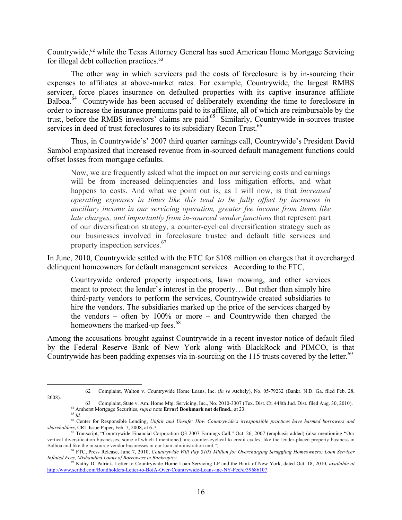Countrywide,62 while the Texas Attorney General has sued American Home Mortgage Servicing for illegal debt collection practices.<sup>63</sup>

The other way in which servicers pad the costs of foreclosure is by in-sourcing their expenses to affiliates at above-market rates. For example, Countrywide, the largest RMBS servicer, force places insurance on defaulted properties with its captive insurance affiliate Balboa.<sup>64</sup> Countrywide has been accused of deliberately extending the time to foreclosure in order to increase the insurance premiums paid to its affiliate, all of which are reimbursable by the trust, before the RMBS investors' claims are paid.<sup>65</sup> Similarly, Countrywide in-sources trustee services in deed of trust foreclosures to its subsidiary Recon Trust.<sup>66</sup>

Thus, in Countrywide's' 2007 third quarter earnings call, Countrywide's President David Sambol emphasized that increased revenue from in-sourced default management functions could offset losses from mortgage defaults.

Now, we are frequently asked what the impact on our servicing costs and earnings will be from increased delinquencies and loss mitigation efforts, and what happens to costs. And what we point out is, as I will now, is that *increased operating expenses in times like this tend to be fully offset by increases in ancillary income in our servicing operation, greater fee income from items like late charges, and importantly from in-sourced vendor functions* that represent part of our diversification strategy, a counter-cyclical diversification strategy such as our businesses involved in foreclosure trustee and default title services and property inspection services.<sup>67</sup>

In June, 2010, Countrywide settled with the FTC for \$108 million on charges that it overcharged delinquent homeowners for default management services. According to the FTC,

Countrywide ordered property inspections, lawn mowing, and other services meant to protect the lender's interest in the property… But rather than simply hire third-party vendors to perform the services, Countrywide created subsidiaries to hire the vendors. The subsidiaries marked up the price of the services charged by the vendors – often by 100% or more – and Countrywide then charged the homeowners the marked-up fees.<sup>68</sup>

Among the accusations brought against Countrywide in a recent investor notice of default filed by the Federal Reserve Bank of New York along with BlackRock and PIMCO, is that Countrywide has been padding expenses via in-sourcing on the 115 trusts covered by the letter.<sup>69</sup>

2008).

 <sup>62</sup> Complaint, Walton v. Countrywide Home Loans, Inc. (*In re* Atchely), No. 05-79232 (Bankr. N.D. Ga. filed Feb. 28,

<sup>63</sup> Complaint, State v. Am. Home Mtg. Servicing, Inc., No. 2010-3307 (Tex. Dist. Ct. 448th Jud. Dist. filed Aug. 30, 2010). <sup>64</sup> Amherst Mortgage Securities, *supra* note **Error! Bookmark not defined.**, at 23. <sup>65</sup> *Id* 

<sup>&</sup>lt;sup>66</sup> Center for Responsible Lending, *Unfair and Unsafe: How Countrywide's irresponsible practices have harmed borrowers and shareholders*, CRL Issue Paper, Feb. 7, 2008, at 6-7.

<sup>67</sup> Transcript, "Countrywide Financial Corporation Q3 2007 Earnings Call," Oct. 26, 2007 (emphasis added) (also mentioning "Our vertical diversification businesses, some of which I mentioned, are counter-cyclical to credit cycles, like the lender-placed property business in Balboa and like the in-source vendor businesses in our loan administration unit.").

<sup>68</sup> FTC, Press Release, June 7, 2010, *Countrywide Will Pay \$108 Million for Overcharging Struggling Homeowners; Loan Servicer Inflated Fees, Mishandled Loans of Borrowers in Bankruptcy*.

<sup>69</sup> Kathy D. Patrick, Letter to Countrywide Home Loan Servicing LP and the Bank of New York, dated Oct. 18, 2010, *available at*  http://www.scribd.com/Bondholders-Letter-to-BofA-Over-Countrywide-Loans-inc-NY-Fed/d/39686107.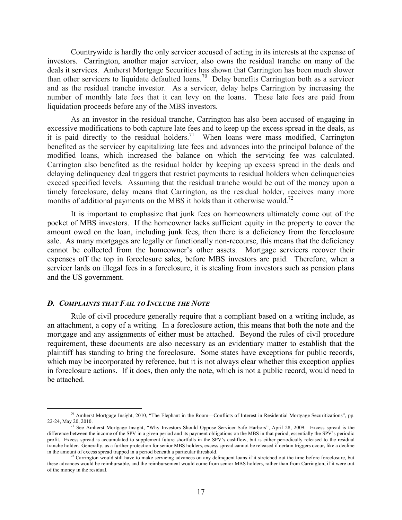Countrywide is hardly the only servicer accused of acting in its interests at the expense of investors. Carrington, another major servicer, also owns the residual tranche on many of the deals it services. Amherst Mortgage Securities has shown that Carrington has been much slower than other servicers to liquidate defaulted loans.70 Delay benefits Carrington both as a servicer and as the residual tranche investor. As a servicer, delay helps Carrington by increasing the number of monthly late fees that it can levy on the loans. These late fees are paid from liquidation proceeds before any of the MBS investors.

As an investor in the residual tranche, Carrington has also been accused of engaging in excessive modifications to both capture late fees and to keep up the excess spread in the deals, as it is paid directly to the residual holders.<sup>71</sup> When loans were mass modified, Carrington benefited as the servicer by capitalizing late fees and advances into the principal balance of the modified loans, which increased the balance on which the servicing fee was calculated. Carrington also benefited as the residual holder by keeping up excess spread in the deals and delaying delinquency deal triggers that restrict payments to residual holders when delinquencies exceed specified levels. Assuming that the residual tranche would be out of the money upon a timely foreclosure, delay means that Carrington, as the residual holder, receives many more months of additional payments on the MBS it holds than it otherwise would.<sup>72</sup>

It is important to emphasize that junk fees on homeowners ultimately come out of the pocket of MBS investors. If the homeowner lacks sufficient equity in the property to cover the amount owed on the loan, including junk fees, then there is a deficiency from the foreclosure sale. As many mortgages are legally or functionally non-recourse, this means that the deficiency cannot be collected from the homeowner's other assets. Mortgage servicers recover their expenses off the top in foreclosure sales, before MBS investors are paid. Therefore, when a servicer lards on illegal fees in a foreclosure, it is stealing from investors such as pension plans and the US government.

#### *D. COMPLAINTS THAT FAIL TO INCLUDE THE NOTE*

Rule of civil procedure generally require that a compliant based on a writing include, as an attachment, a copy of a writing. In a foreclosure action, this means that both the note and the mortgage and any assignments of either must be attached. Beyond the rules of civil procedure requirement, these documents are also necessary as an evidentiary matter to establish that the plaintiff has standing to bring the foreclosure. Some states have exceptions for public records, which may be incorporated by reference, but it is not always clear whether this exception applies in foreclosure actions. If it does, then only the note, which is not a public record, would need to be attached.

<sup>&</sup>lt;sup>70</sup> Amherst Mortgage Insight, 2010, "The Elephant in the Room—Conflicts of Interest in Residential Mortgage Securitizations", pp.<br>22-24, May 20, 2010.

See Amherst Mortgage Insight, "Why Investors Should Oppose Servicer Safe Harbors", April 28, 2009. Excess spread is the difference between the income of the SPV in a given period and its payment obligations on the MBS in that period, essentially the SPV's periodic profit. Excess spread is accumulated to supplement future shortfalls in the SPV's cashflow, but is either periodically released to the residual tranche holder. Generally, as a further protection for senior MBS holders, excess spread cannot be released if certain triggers occur, like a decline

<sup>&</sup>lt;sup>2</sup> Carrington would still have to make servicing advances on any delinquent loans if it stretched out the time before foreclosure, but these advances would be reimbursable, and the reimbursement would come from senior MBS holders, rather than from Carrington, if it were out of the money in the residual.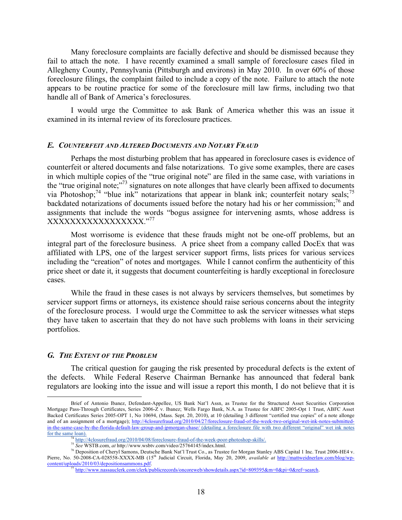Many foreclosure complaints are facially defective and should be dismissed because they fail to attach the note. I have recently examined a small sample of foreclosure cases filed in Allegheny County, Pennsylvania (Pittsburgh and environs) in May 2010. In over 60% of those foreclosure filings, the complaint failed to include a copy of the note. Failure to attach the note appears to be routine practice for some of the foreclosure mill law firms, including two that handle all of Bank of America's foreclosures.

I would urge the Committee to ask Bank of America whether this was an issue it examined in its internal review of its foreclosure practices.

#### *E. COUNTERFEIT AND ALTERED DOCUMENTS AND NOTARY FRAUD*

Perhaps the most disturbing problem that has appeared in foreclosure cases is evidence of counterfeit or altered documents and false notarizations. To give some examples, there are cases in which multiple copies of the "true original note" are filed in the same case, with variations in the "true original note;"73 signatures on note allonges that have clearly been affixed to documents via Photoshop;<sup>74</sup> "blue ink" notarizations that appear in blank ink; counterfeit notary seals;<sup>75</sup> backdated notarizations of documents issued before the notary had his or her commission;<sup>76</sup> and assignments that include the words "bogus assignee for intervening asmts, whose address is XXXXXXXXXXXXXXXXX."77

Most worrisome is evidence that these frauds might not be one-off problems, but an integral part of the foreclosure business. A price sheet from a company called DocEx that was affiliated with LPS, one of the largest servicer support firms, lists prices for various services including the "creation" of notes and mortgages. While I cannot confirm the authenticity of this price sheet or date it, it suggests that document counterfeiting is hardly exceptional in foreclosure cases.

While the fraud in these cases is not always by servicers themselves, but sometimes by servicer support firms or attorneys, its existence should raise serious concerns about the integrity of the foreclosure process. I would urge the Committee to ask the servicer witnesses what steps they have taken to ascertain that they do not have such problems with loans in their servicing portfolios.

#### *G. THE EXTENT OF THE PROBLEM*

The critical question for gauging the risk presented by procedural defects is the extent of the defects. While Federal Reserve Chairman Bernanke has announced that federal bank regulators are looking into the issue and will issue a report this month, I do not believe that it is

Brief of Antonio Ibanez, Defendant-Appellee, US Bank Nat'l Assn, as Trustee for the Structured Asset Securities Corporation Mortgage Pass-Through Certificates, Series 2006-Z v. Ibanez; Wells Fargo Bank, N.A. as Trustee for ABFC 2005-Opt 1 Trust, ABFC Asset Backed Certificates Series 2005-OPT 1, No 10694, (Mass. Sept. 20, 2010), at 10 (detailing 3 different "certified true copies" of a note allonge and of an assignment of a mortgage); http://4closurefraud.org/2010/04/27/foreclosure-fraud-of-the-week-two-original-wet-ink-notes-submittedin-the-same-case-by-the-florida-default-law-group-and-jpmorgan-chase/ (detailing a foreclosure file with two different "original" wet ink notes for the same loan). 74 http://4closurefraud.org/2010/04/08/foreclosure-fraud-of-the-week-poor-photoshop-skills/.

<sup>75</sup> *See* WSTB.com, *at* http://www.wsbtv.com/video/25764145/index.html.

<sup>&</sup>lt;sup>76</sup> Deposition of Cheryl Samons, Deutsche Bank Nat'l Trust Co., as Trustee for Morgan Stanley ABS Capital 1 Inc. Trust 2006-HE4 v. Pierre, No. 50-2008-CA-028558-XXXX-MB (15<sup>th</sup> Judicial Circuit, Florida, May 20, 2009, *available at* http://mattweidnerlaw.com/blog/wp-content/uploads/2010/03/depositionsammons.pdf.

http://www.nassauclerk.com/clerk/publicrecords/oncoreweb/showdetails.aspx?id=809395&m=0&pi=0&ref=search.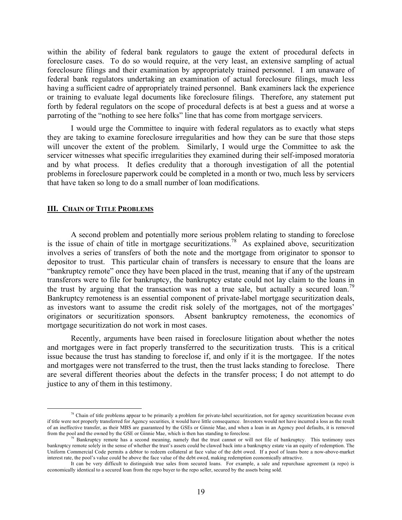within the ability of federal bank regulators to gauge the extent of procedural defects in foreclosure cases. To do so would require, at the very least, an extensive sampling of actual foreclosure filings and their examination by appropriately trained personnel. I am unaware of federal bank regulators undertaking an examination of actual foreclosure filings, much less having a sufficient cadre of appropriately trained personnel. Bank examiners lack the experience or training to evaluate legal documents like foreclosure filings. Therefore, any statement put forth by federal regulators on the scope of procedural defects is at best a guess and at worse a parroting of the "nothing to see here folks" line that has come from mortgage servicers.

I would urge the Committee to inquire with federal regulators as to exactly what steps they are taking to examine foreclosure irregularities and how they can be sure that those steps will uncover the extent of the problem. Similarly, I would urge the Committee to ask the servicer witnesses what specific irregularities they examined during their self-imposed moratoria and by what process. It defies credulity that a thorough investigation of all the potential problems in foreclosure paperwork could be completed in a month or two, much less by servicers that have taken so long to do a small number of loan modifications.

### **III. CHAIN OF TITLE PROBLEMS**

A second problem and potentially more serious problem relating to standing to foreclose is the issue of chain of title in mortgage securitizations.<sup>78</sup> As explained above, securitization involves a series of transfers of both the note and the mortgage from originator to sponsor to depositor to trust. This particular chain of transfers is necessary to ensure that the loans are "bankruptcy remote" once they have been placed in the trust, meaning that if any of the upstream transferors were to file for bankruptcy, the bankruptcy estate could not lay claim to the loans in the trust by arguing that the transaction was not a true sale, but actually a secured loan.<sup>79</sup> Bankruptcy remoteness is an essential component of private-label mortgage securitization deals, as investors want to assume the credit risk solely of the mortgages, not of the mortgages' originators or securitization sponsors. Absent bankruptcy remoteness, the economics of mortgage securitization do not work in most cases.

Recently, arguments have been raised in foreclosure litigation about whether the notes and mortgages were in fact properly transferred to the securitization trusts. This is a critical issue because the trust has standing to foreclose if, and only if it is the mortgagee. If the notes and mortgages were not transferred to the trust, then the trust lacks standing to foreclose. There are several different theories about the defects in the transfer process; I do not attempt to do justice to any of them in this testimony.

 $78$  Chain of title problems appear to be primarily a problem for private-label securitization, not for agency securitization because even if title were not properly transferred for Agency securities, it would have little consequence. Investors would not have incurred a loss as the result of an ineffective transfer, as their MBS are guaranteed by the GSEs or Ginnie Mae, and when a loan in an Agency pool defaults, it is removed from the pool and the owned by the GSE or Ginnie Mae, which is then has standing to foreclose.

 $79$  Bankruptcy remote has a second meaning, namely that the trust cannot or will not file of bankruptcy. This testimony uses bankruptcy remote solely in the sense of whether the trust's assets could be clawed back into a bankruptcy estate via an equity of redemption. The Uniform Commercial Code permits a debtor to redeem collateral at face value of the debt owed. If a pool of loans bore a now-above-market interest rate, the pool's value could be above the face value of the debt owed, making redemption economically attractive.

It can be very difficult to distinguish true sales from secured loans. For example, a sale and repurchase agreement (a repo) is economically identical to a secured loan from the repo buyer to the repo seller, secured by the assets being sold.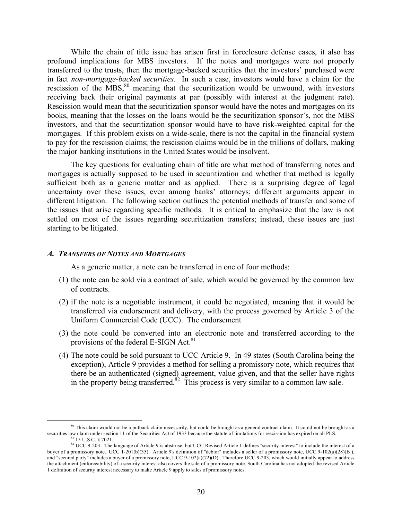While the chain of title issue has arisen first in foreclosure defense cases, it also has profound implications for MBS investors. If the notes and mortgages were not properly transferred to the trusts, then the mortgage-backed securities that the investors' purchased were in fact *non-mortgage-backed securities*. In such a case, investors would have a claim for the rescission of the  $MBS$ ,<sup>80</sup> meaning that the securitization would be unwound, with investors receiving back their original payments at par (possibly with interest at the judgment rate). Rescission would mean that the securitization sponsor would have the notes and mortgages on its books, meaning that the losses on the loans would be the securitization sponsor's, not the MBS investors, and that the securitization sponsor would have to have risk-weighted capital for the mortgages. If this problem exists on a wide-scale, there is not the capital in the financial system to pay for the rescission claims; the rescission claims would be in the trillions of dollars, making the major banking institutions in the United States would be insolvent.

The key questions for evaluating chain of title are what method of transferring notes and mortgages is actually supposed to be used in securitization and whether that method is legally sufficient both as a generic matter and as applied. There is a surprising degree of legal uncertainty over these issues, even among banks' attorneys; different arguments appear in different litigation. The following section outlines the potential methods of transfer and some of the issues that arise regarding specific methods. It is critical to emphasize that the law is not settled on most of the issues regarding securitization transfers; instead, these issues are just starting to be litigated.

### *A. TRANSFERS OF NOTES AND MORTGAGES*

As a generic matter, a note can be transferred in one of four methods:

- (1) the note can be sold via a contract of sale, which would be governed by the common law of contracts.
- (2) if the note is a negotiable instrument, it could be negotiated, meaning that it would be transferred via endorsement and delivery, with the process governed by Article 3 of the Uniform Commercial Code (UCC). The endorsement
- (3) the note could be converted into an electronic note and transferred according to the provisions of the federal E-SIGN Act.<sup>81</sup>
- (4) The note could be sold pursuant to UCC Article 9. In 49 states (South Carolina being the exception), Article 9 provides a method for selling a promissory note, which requires that there be an authenticated (signed) agreement, value given, and that the seller have rights in the property being transferred.<sup>82</sup> This process is very similar to a common law sale.

<sup>80</sup> This claim would not be a putback claim necessarily, but could be brought as a general contract claim. It could not be brought as a securities law claim under section 11 of the Securities Act of 1933 because the statute of limitations for rescission has expired on all PLS. 81 15 U.S.C. § 7021.

<sup>&</sup>lt;sup>82</sup> UCC 9-203. The language of Article 9 is abstruse, but UCC Revised Article 1 defines "security interest" to include the interest of a buyer of a promissory note. UCC 1-201(b)(35). Article 9's definition of "debtor" includes a seller of a promissory note, UCC 9-102(a)(28)(B ), and "secured party" includes a buyer of a promissory note, UCC 9-102(a)(72)(D). Therefore UCC 9-203, which would initially appear to address the attachment (enforceability) of a security interest also covers the sale of a promissory note. South Carolina has not adopted the revised Article 1 definition of security interest necessary to make Article 9 apply to sales of promissory notes.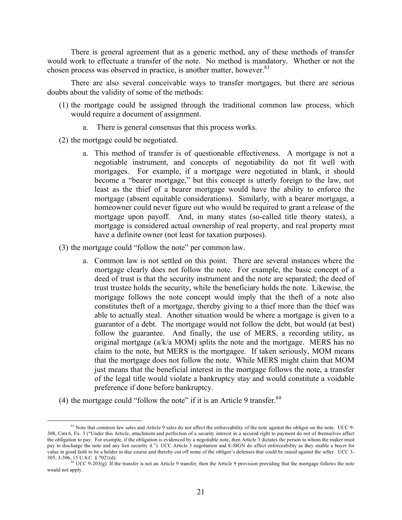There is general agreement that as a generic method, any of these methods of transfer would work to effectuate a transfer of the note. No method is mandatory. Whether or not the chosen process was observed in practice, is another matter, however.<sup>83</sup>

There are also several conceivable ways to transfer mortgages, but there are serious doubts about the validity of some of the methods:

- (1) the mortgage could be assigned through the traditional common law process, which would require a document of assignment.
	- a. There is general consensus that this process works.
- (2) the mortgage could be negotiated.
	- a. This method of transfer is of questionable effectiveness. A mortgage is not a negotiable instrument, and concepts of negotiability do not fit well with mortgages. For example, if a mortgage were negotiated in blank, it should become a "bearer mortgage," but this concept is utterly foreign to the law, not least as the thief of a bearer mortgage would have the ability to enforce the mortgage (absent equitable considerations). Similarly, with a bearer mortgage, a homeowner could never figure out who would be required to grant a release of the mortgage upon payoff. And, in many states (so-called title theory states), a mortgage is considered actual ownership of real property, and real property must have a definite owner (not least for taxation purposes).
- (3) the mortgage could "follow the note" per common law.
	- a. Common law is not settled on this point. There are several instances where the mortgage clearly does not follow the note. For example, the basic concept of a deed of trust is that the security instrument and the note are separated; the deed of trust trustee holds the security, while the beneficiary holds the note. Likewise, the mortgage follows the note concept would imply that the theft of a note also constitutes theft of a mortgage, thereby giving to a thief more than the thief was able to actually steal. Another situation would be where a mortgage is given to a guarantor of a debt. The mortgage would not follow the debt, but would (at best) follow the guarantee. And finally, the use of MERS, a recording utility, as original mortgage (a/k/a MOM) splits the note and the mortgage. MERS has no claim to the note, but MERS is the mortgagee. If taken seriously, MOM means that the mortgage does not follow the note. While MERS might claim that MOM just means that the beneficial interest in the mortgage follows the note, a transfer of the legal title would violate a bankruptcy stay and would constitute a voidable preference if done before bankruptcy.
- (4) the mortgage could "follow the note" if it is an Article 9 transfer. $84$

<sup>83</sup> Note that common law sales and Article 9 sales do not affect the enforceability of the note against the obligor on the note. UCC 9-308, Cmt.6, Ex. 3 ("Under this Article, attachment and perfection of a security interest in a secured right to payment do not of themselves affect the obligation to pay. For example, if the obligation is evidenced by a negotiable note, then Article 3 dictates the person to whom the maker must pay to discharge the note and any lien security it."). UCC Article 3 negotiation and E-SIGN do affect enforceability as they enable a buyer for value in good faith to be a holder in due course and thereby cut off some of the obligor's defenses that could be raised against the seller. UCC 3- 305, 3-306; 15 U.S.C. § 7021(d).

 $^{84}$  UCC 9-203(g). If the transfer is not an Article 9 transfer, then the Article 9 provision providing that the mortgage follows the note would not apply.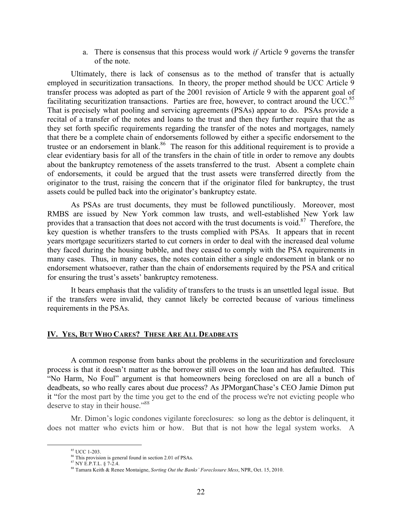a. There is consensus that this process would work *if* Article 9 governs the transfer of the note.

Ultimately, there is lack of consensus as to the method of transfer that is actually employed in securitization transactions. In theory, the proper method should be UCC Article 9 transfer process was adopted as part of the 2001 revision of Article 9 with the apparent goal of facilitating securitization transactions. Parties are free, however, to contract around the UCC.<sup>85</sup> That is precisely what pooling and servicing agreements (PSAs) appear to do. PSAs provide a recital of a transfer of the notes and loans to the trust and then they further require that the as they set forth specific requirements regarding the transfer of the notes and mortgages, namely that there be a complete chain of endorsements followed by either a specific endorsement to the trustee or an endorsement in blank.<sup>86</sup> The reason for this additional requirement is to provide a clear evidentiary basis for all of the transfers in the chain of title in order to remove any doubts about the bankruptcy remoteness of the assets transferred to the trust. Absent a complete chain of endorsements, it could be argued that the trust assets were transferred directly from the originator to the trust, raising the concern that if the originator filed for bankruptcy, the trust assets could be pulled back into the originator's bankruptcy estate.

As PSAs are trust documents, they must be followed punctiliously. Moreover, most RMBS are issued by New York common law trusts, and well-established New York law provides that a transaction that does not accord with the trust documents is void.<sup>87</sup> Therefore, the key question is whether transfers to the trusts complied with PSAs. It appears that in recent years mortgage securitizers started to cut corners in order to deal with the increased deal volume they faced during the housing bubble, and they ceased to comply with the PSA requirements in many cases. Thus, in many cases, the notes contain either a single endorsement in blank or no endorsement whatsoever, rather than the chain of endorsements required by the PSA and critical for ensuring the trust's assets' bankruptcy remoteness.

It bears emphasis that the validity of transfers to the trusts is an unsettled legal issue. But if the transfers were invalid, they cannot likely be corrected because of various timeliness requirements in the PSAs.

## **IV. YES, BUT WHO CARES? THESE ARE ALL DEADBEATS**

A common response from banks about the problems in the securitization and foreclosure process is that it doesn't matter as the borrower still owes on the loan and has defaulted. This "No Harm, No Foul" argument is that homeowners being foreclosed on are all a bunch of deadbeats, so who really cares about due process? As JPMorganChase's CEO Jamie Dimon put it "for the most part by the time you get to the end of the process we're not evicting people who deserve to stay in their house."88

Mr. Dimon's logic condones vigilante foreclosures: so long as the debtor is delinquent, it does not matter who evicts him or how. But that is not how the legal system works. A

<sup>&</sup>lt;sup>85</sup> UCC 1-203.<br><sup>86</sup> This provision is general found in section 2.01 of PSAs.<br><sup>87</sup> NY E.P.T.L. § 7-2.4.

<sup>&</sup>lt;sup>88</sup> Tamara Keith & Renee Montaigne, *Sorting Out the Banks' Foreclosure Mess*, NPR, Oct. 15, 2010.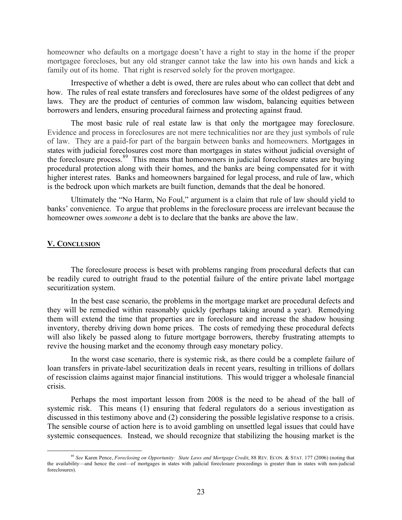homeowner who defaults on a mortgage doesn't have a right to stay in the home if the proper mortgagee forecloses, but any old stranger cannot take the law into his own hands and kick a family out of its home. That right is reserved solely for the proven mortgagee.

Irrespective of whether a debt is owed, there are rules about who can collect that debt and how. The rules of real estate transfers and foreclosures have some of the oldest pedigrees of any laws. They are the product of centuries of common law wisdom, balancing equities between borrowers and lenders, ensuring procedural fairness and protecting against fraud.

The most basic rule of real estate law is that only the mortgagee may foreclosure. Evidence and process in foreclosures are not mere technicalities nor are they just symbols of rule of law. They are a paid-for part of the bargain between banks and homeowners. Mortgages in states with judicial foreclosures cost more than mortgages in states without judicial oversight of the foreclosure process.89 This means that homeowners in judicial foreclosure states are buying procedural protection along with their homes, and the banks are being compensated for it with higher interest rates. Banks and homeowners bargained for legal process, and rule of law, which is the bedrock upon which markets are built function, demands that the deal be honored.

Ultimately the "No Harm, No Foul," argument is a claim that rule of law should yield to banks' convenience. To argue that problems in the foreclosure process are irrelevant because the homeowner owes *someone* a debt is to declare that the banks are above the law.

### **V. CONCLUSION**

The foreclosure process is beset with problems ranging from procedural defects that can be readily cured to outright fraud to the potential failure of the entire private label mortgage securitization system.

In the best case scenario, the problems in the mortgage market are procedural defects and they will be remedied within reasonably quickly (perhaps taking around a year). Remedying them will extend the time that properties are in foreclosure and increase the shadow housing inventory, thereby driving down home prices. The costs of remedying these procedural defects will also likely be passed along to future mortgage borrowers, thereby frustrating attempts to revive the housing market and the economy through easy monetary policy.

In the worst case scenario, there is systemic risk, as there could be a complete failure of loan transfers in private-label securitization deals in recent years, resulting in trillions of dollars of rescission claims against major financial institutions. This would trigger a wholesale financial crisis.

Perhaps the most important lesson from 2008 is the need to be ahead of the ball of systemic risk. This means (1) ensuring that federal regulators do a serious investigation as discussed in this testimony above and (2) considering the possible legislative response to a crisis. The sensible course of action here is to avoid gambling on unsettled legal issues that could have systemic consequences. Instead, we should recognize that stabilizing the housing market is the

<sup>&</sup>lt;sup>89</sup> See Karen Pence, *Foreclosing on Opportunity: State Laws and Mortgage Credit*, 88 REV. ECON. & STAT. 177 (2006) (noting that the availability—and hence the cost—of mortgages in states with judicial foreclosure proceedings is greater than in states with non-judicial foreclosures).